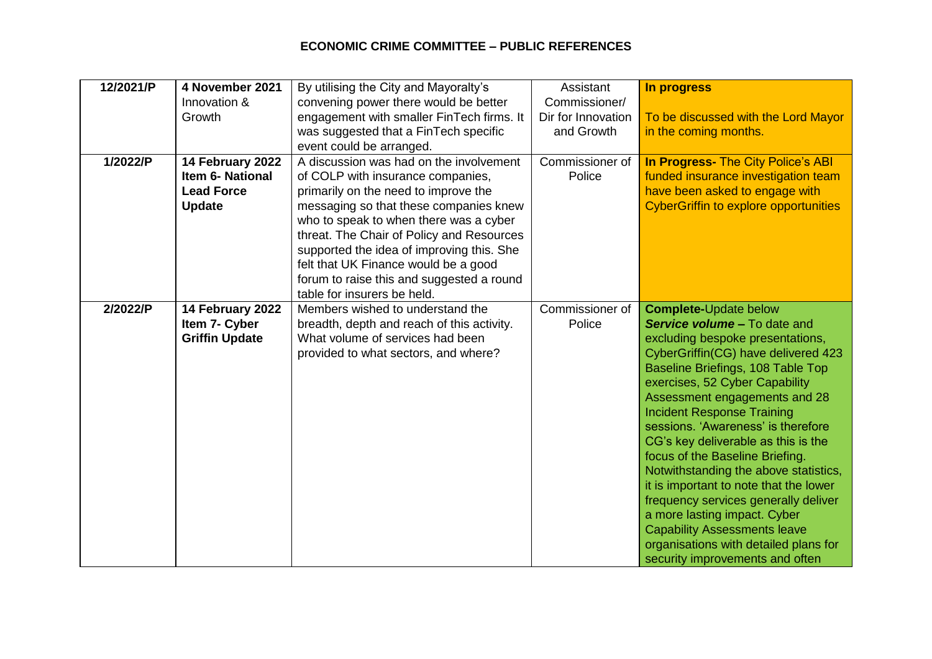## **ECONOMIC CRIME COMMITTEE – PUBLIC REFERENCES**

| 12/2021/P | 4 November 2021<br>Innovation &<br>Growth                                  | By utilising the City and Mayoralty's<br>convening power there would be better<br>engagement with smaller FinTech firms. It                                                                                                                                                                                                                                                                                            | Assistant<br>Commissioner/<br>Dir for Innovation | In progress<br>To be discussed with the Lord Mayor                                                                                                                                                                                                                                                                                                                                                                                                                                                                                                                                                                                                                                        |
|-----------|----------------------------------------------------------------------------|------------------------------------------------------------------------------------------------------------------------------------------------------------------------------------------------------------------------------------------------------------------------------------------------------------------------------------------------------------------------------------------------------------------------|--------------------------------------------------|-------------------------------------------------------------------------------------------------------------------------------------------------------------------------------------------------------------------------------------------------------------------------------------------------------------------------------------------------------------------------------------------------------------------------------------------------------------------------------------------------------------------------------------------------------------------------------------------------------------------------------------------------------------------------------------------|
|           |                                                                            | was suggested that a FinTech specific<br>event could be arranged.                                                                                                                                                                                                                                                                                                                                                      | and Growth                                       | in the coming months.                                                                                                                                                                                                                                                                                                                                                                                                                                                                                                                                                                                                                                                                     |
| 1/2022/P  | 14 February 2022<br>Item 6- National<br><b>Lead Force</b><br><b>Update</b> | A discussion was had on the involvement<br>of COLP with insurance companies,<br>primarily on the need to improve the<br>messaging so that these companies knew<br>who to speak to when there was a cyber<br>threat. The Chair of Policy and Resources<br>supported the idea of improving this. She<br>felt that UK Finance would be a good<br>forum to raise this and suggested a round<br>table for insurers be held. | Commissioner of<br>Police                        | In Progress- The City Police's ABI<br>funded insurance investigation team<br>have been asked to engage with<br><b>CyberGriffin to explore opportunities</b>                                                                                                                                                                                                                                                                                                                                                                                                                                                                                                                               |
| 2/2022/P  | 14 February 2022<br>Item 7- Cyber<br><b>Griffin Update</b>                 | Members wished to understand the<br>breadth, depth and reach of this activity.<br>What volume of services had been<br>provided to what sectors, and where?                                                                                                                                                                                                                                                             | Commissioner of<br>Police                        | <b>Complete-Update below</b><br><b>Service volume - To date and</b><br>excluding bespoke presentations,<br>CyberGriffin(CG) have delivered 423<br>Baseline Briefings, 108 Table Top<br>exercises, 52 Cyber Capability<br>Assessment engagements and 28<br><b>Incident Response Training</b><br>sessions. 'Awareness' is therefore<br>CG's key deliverable as this is the<br>focus of the Baseline Briefing.<br>Notwithstanding the above statistics,<br>it is important to note that the lower<br>frequency services generally deliver<br>a more lasting impact. Cyber<br><b>Capability Assessments leave</b><br>organisations with detailed plans for<br>security improvements and often |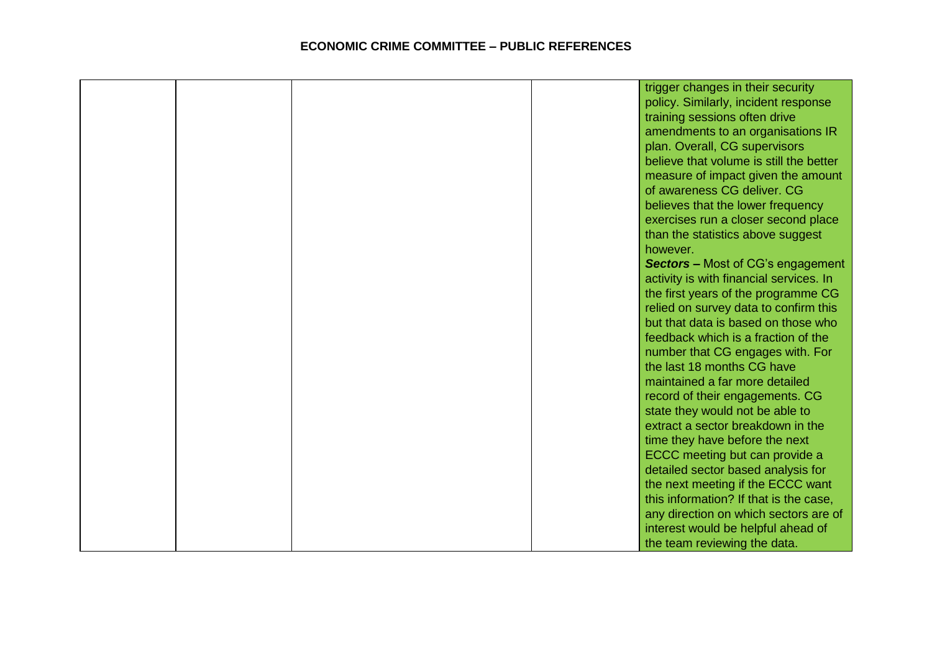|  |  | trigger changes in their security        |
|--|--|------------------------------------------|
|  |  | policy. Similarly, incident response     |
|  |  | training sessions often drive            |
|  |  | amendments to an organisations IR        |
|  |  | plan. Overall, CG supervisors            |
|  |  | believe that volume is still the better  |
|  |  | measure of impact given the amount       |
|  |  | of awareness CG deliver. CG              |
|  |  | believes that the lower frequency        |
|  |  | exercises run a closer second place      |
|  |  | than the statistics above suggest        |
|  |  | however.                                 |
|  |  | <b>Sectors</b> – Most of CG's engagement |
|  |  | activity is with financial services. In  |
|  |  | the first years of the programme CG      |
|  |  | relied on survey data to confirm this    |
|  |  | but that data is based on those who      |
|  |  | feedback which is a fraction of the      |
|  |  | number that CG engages with. For         |
|  |  | the last 18 months CG have               |
|  |  | maintained a far more detailed           |
|  |  | record of their engagements. CG          |
|  |  | state they would not be able to          |
|  |  | extract a sector breakdown in the        |
|  |  | time they have before the next           |
|  |  | ECCC meeting but can provide a           |
|  |  | detailed sector based analysis for       |
|  |  | the next meeting if the ECCC want        |
|  |  | this information? If that is the case,   |
|  |  | any direction on which sectors are of    |
|  |  | interest would be helpful ahead of       |
|  |  | the team reviewing the data.             |